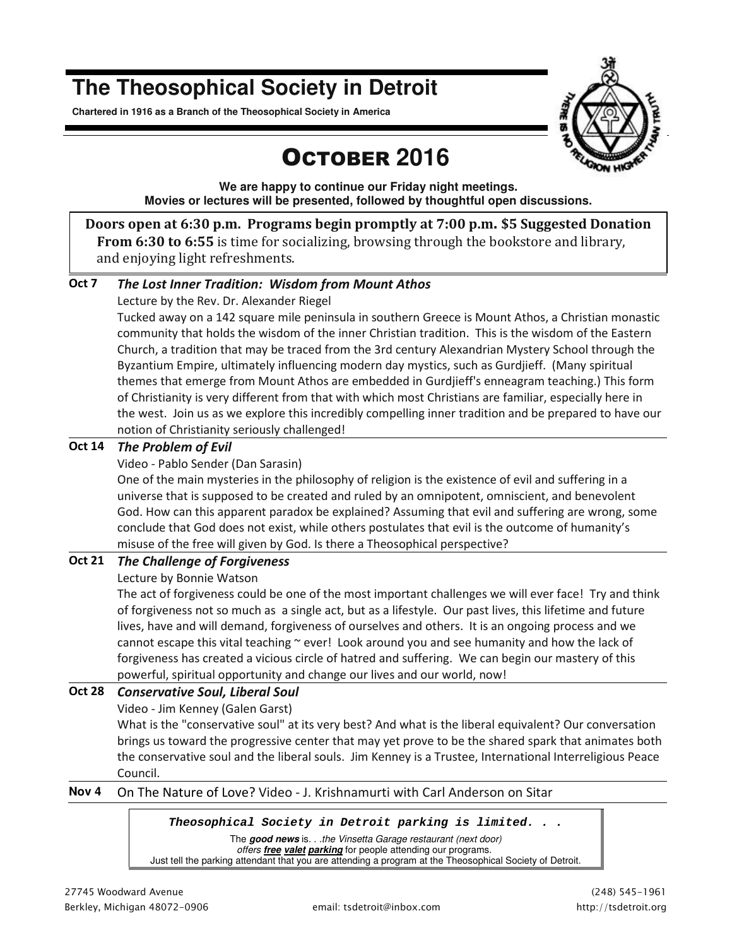## **The Theosophical Society in Detroit**

**Chartered in 1916 as a Branch of the Theosophical Society in America** 



# OCTOBER **2016**

**We are happy to continue our Friday night meetings. Movies or lectures will be presented, followed by thoughtful open discussions.** 

**Doors open at 6:30 p.m. Programs begin promptly at 7:00 p.m. \$5 Suggested Donation From 6:30 to 6:55** is time for socializing, browsing through the bookstore and library, and enjoying light refreshments.

#### **Oct 7** *The Lost Inner Tradition: Wisdom from Mount Athos*

#### Lecture by the Rev. Dr. Alexander Riegel

Tucked away on a 142 square mile peninsula in southern Greece is Mount Athos, a Christian monastic community that holds the wisdom of the inner Christian tradition. This is the wisdom of the Eastern Church, a tradition that may be traced from the 3rd century Alexandrian Mystery School through the Byzantium Empire, ultimately influencing modern day mystics, such as Gurdjieff. (Many spiritual themes that emerge from Mount Athos are embedded in Gurdjieff's enneagram teaching.) This form of Christianity is very different from that with which most Christians are familiar, especially here in the west. Join us as we explore this incredibly compelling inner tradition and be prepared to have our notion of Christianity seriously challenged!

#### **Oct 14** *The Problem of Evil*

#### Video - Pablo Sender (Dan Sarasin)

One of the main mysteries in the philosophy of religion is the existence of evil and suffering in a universe that is supposed to be created and ruled by an omnipotent, omniscient, and benevolent God. How can this apparent paradox be explained? Assuming that evil and suffering are wrong, some conclude that God does not exist, while others postulates that evil is the outcome of humanity's misuse of the free will given by God. Is there a Theosophical perspective?

#### **Oct 21** *The Challenge of Forgiveness*

#### Lecture by Bonnie Watson

The act of forgiveness could be one of the most important challenges we will ever face! Try and think of forgiveness not so much as a single act, but as a lifestyle. Our past lives, this lifetime and future lives, have and will demand, forgiveness of ourselves and others. It is an ongoing process and we cannot escape this vital teaching  $\sim$  ever! Look around you and see humanity and how the lack of forgiveness has created a vicious circle of hatred and suffering. We can begin our mastery of this powerful, spiritual opportunity and change our lives and our world, now!

### **Oct 28** *Conservative Soul, Liberal Soul*

Video - Jim Kenney (Galen Garst)

What is the "conservative soul" at its very best? And what is the liberal equivalent? Our conversation brings us toward the progressive center that may yet prove to be the shared spark that animates both the conservative soul and the liberal souls. Jim Kenney is a Trustee, International Interreligious Peace Council.

#### **Nov 4** On The Nature of Love? Video - J. Krishnamurti with Carl Anderson on Sitar

#### *Theosophical Society in Detroit parking is limited. . .*

The **good news** is. . .the Vinsetta Garage restaurant (next door) offers **free valet parking** for people attending our programs. Just tell the parking attendant that you are attending a program at the Theosophical Society of Detroit.